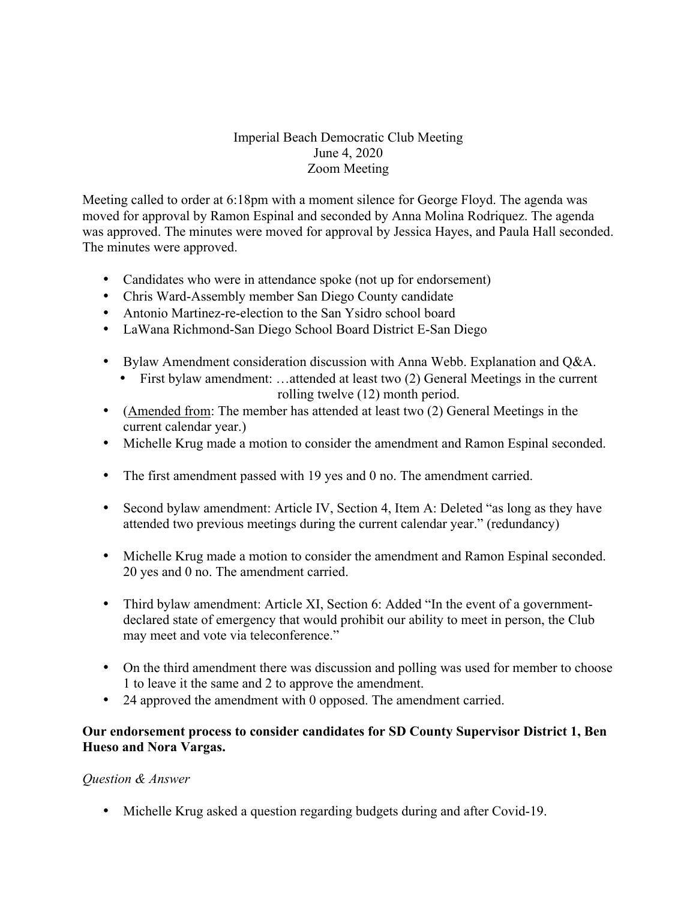# Imperial Beach Democratic Club Meeting June 4, 2020 Zoom Meeting

Meeting called to order at 6:18pm with a moment silence for George Floyd. The agenda was moved for approval by Ramon Espinal and seconded by Anna Molina Rodriquez. The agenda was approved. The minutes were moved for approval by Jessica Hayes, and Paula Hall seconded. The minutes were approved.

- Candidates who were in attendance spoke (not up for endorsement)
- Chris Ward-Assembly member San Diego County candidate
- Antonio Martinez-re-election to the San Ysidro school board
- LaWana Richmond-San Diego School Board District E-San Diego
- Bylaw Amendment consideration discussion with Anna Webb. Explanation and Q&A.
	- First bylaw amendment: …attended at least two (2) General Meetings in the current rolling twelve (12) month period.
- (Amended from: The member has attended at least two (2) General Meetings in the current calendar year.)
- Michelle Krug made a motion to consider the amendment and Ramon Espinal seconded.
- The first amendment passed with 19 yes and 0 no. The amendment carried.
- Second bylaw amendment: Article IV, Section 4, Item A: Deleted "as long as they have attended two previous meetings during the current calendar year." (redundancy)
- Michelle Krug made a motion to consider the amendment and Ramon Espinal seconded. 20 yes and 0 no. The amendment carried.
- Third bylaw amendment: Article XI, Section 6: Added "In the event of a governmentdeclared state of emergency that would prohibit our ability to meet in person, the Club may meet and vote via teleconference."
- On the third amendment there was discussion and polling was used for member to choose 1 to leave it the same and 2 to approve the amendment.
- 24 approved the amendment with 0 opposed. The amendment carried.

## **Our endorsement process to consider candidates for SD County Supervisor District 1, Ben Hueso and Nora Vargas.**

## *Question & Answer*

• Michelle Krug asked a question regarding budgets during and after Covid-19.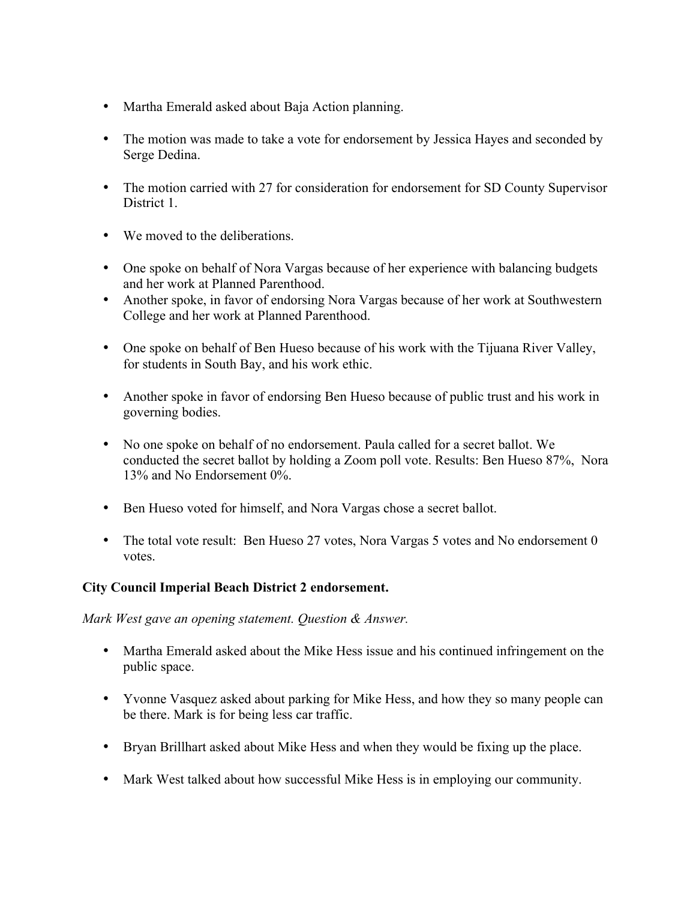- Martha Emerald asked about Baja Action planning.
- The motion was made to take a vote for endorsement by Jessica Hayes and seconded by Serge Dedina.
- The motion carried with 27 for consideration for endorsement for SD County Supervisor District 1.
- We moved to the deliberations.
- One spoke on behalf of Nora Vargas because of her experience with balancing budgets and her work at Planned Parenthood.
- Another spoke, in favor of endorsing Nora Vargas because of her work at Southwestern College and her work at Planned Parenthood.
- One spoke on behalf of Ben Hueso because of his work with the Tijuana River Valley, for students in South Bay, and his work ethic.
- Another spoke in favor of endorsing Ben Hueso because of public trust and his work in governing bodies.
- No one spoke on behalf of no endorsement. Paula called for a secret ballot. We conducted the secret ballot by holding a Zoom poll vote. Results: Ben Hueso 87%, Nora 13% and No Endorsement 0%.
- Ben Hueso voted for himself, and Nora Vargas chose a secret ballot.
- The total vote result: Ben Hueso 27 votes, Nora Vargas 5 votes and No endorsement 0 votes.

## **City Council Imperial Beach District 2 endorsement.**

*Mark West gave an opening statement. Question & Answer.*

- Martha Emerald asked about the Mike Hess issue and his continued infringement on the public space.
- Yvonne Vasquez asked about parking for Mike Hess, and how they so many people can be there. Mark is for being less car traffic.
- Bryan Brillhart asked about Mike Hess and when they would be fixing up the place.
- Mark West talked about how successful Mike Hess is in employing our community.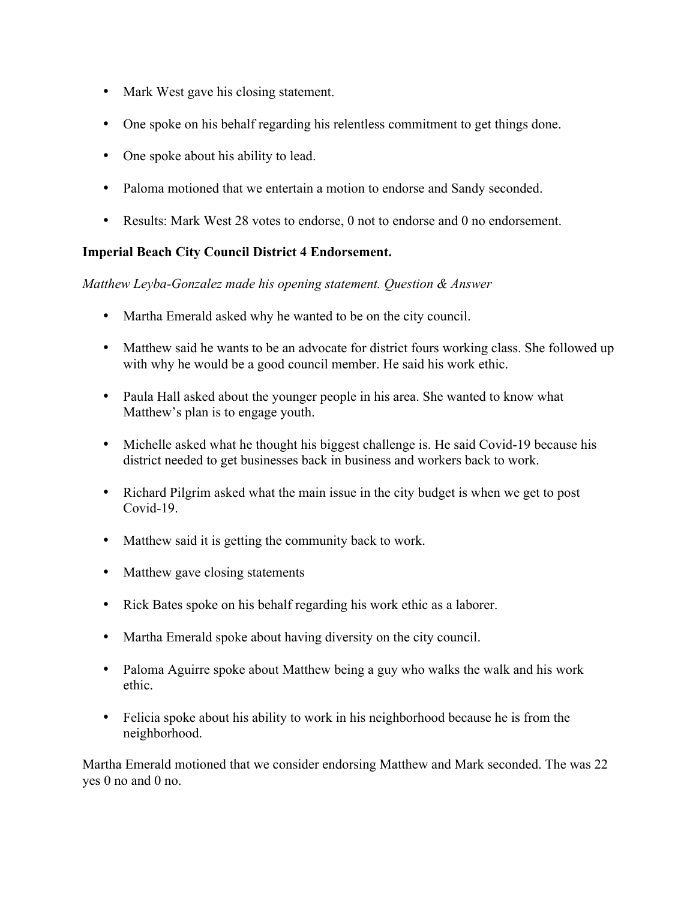- Mark West gave his closing statement.
- One spoke on his behalf regarding his relentless commitment to get things done.
- One spoke about his ability to lead.
- Paloma motioned that we entertain a motion to endorse and Sandy seconded.
- Results: Mark West 28 votes to endorse, 0 not to endorse and 0 no endorsement.

#### **Imperial Beach City Council District 4 Endorsement.**

*Matthew Leyba-Gonzalez made his opening statement. Question & Answer*

- Martha Emerald asked why he wanted to be on the city council.
- Matthew said he wants to be an advocate for district fours working class. She followed up with why he would be a good council member. He said his work ethic.
- Paula Hall asked about the younger people in his area. She wanted to know what Matthew's plan is to engage youth.
- Michelle asked what he thought his biggest challenge is. He said Covid-19 because his district needed to get businesses back in business and workers back to work.
- Richard Pilgrim asked what the main issue in the city budget is when we get to post Covid-19.
- Matthew said it is getting the community back to work.
- Matthew gave closing statements
- Rick Bates spoke on his behalf regarding his work ethic as a laborer.
- Martha Emerald spoke about having diversity on the city council.
- Paloma Aguirre spoke about Matthew being a guy who walks the walk and his work ethic.
- Felicia spoke about his ability to work in his neighborhood because he is from the neighborhood.

Martha Emerald motioned that we consider endorsing Matthew and Mark seconded. The was 22 yes 0 no and 0 no.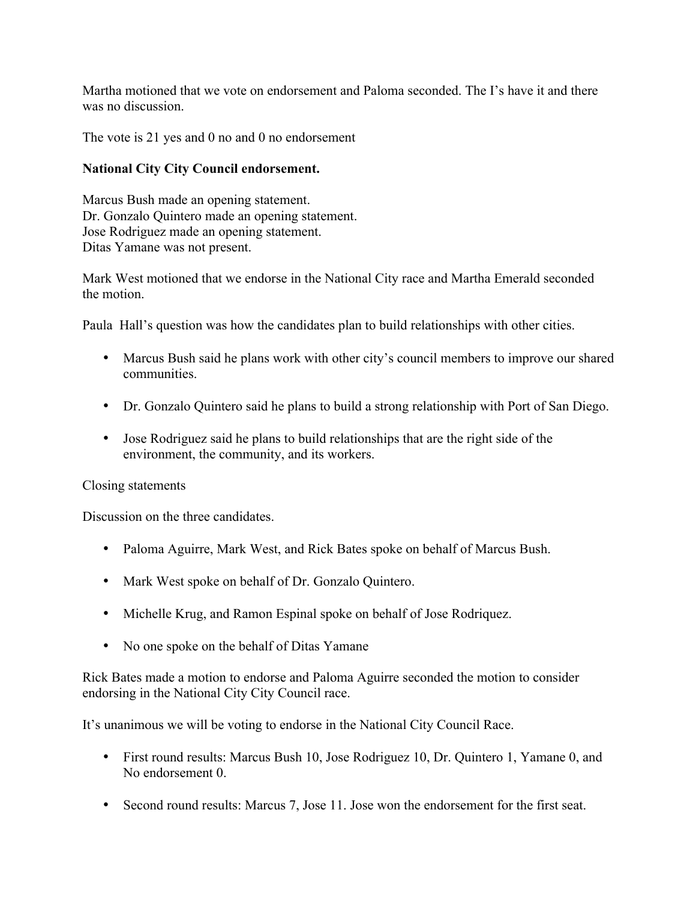Martha motioned that we vote on endorsement and Paloma seconded. The I's have it and there was no discussion.

The vote is 21 yes and 0 no and 0 no endorsement

## **National City City Council endorsement.**

Marcus Bush made an opening statement. Dr. Gonzalo Quintero made an opening statement. Jose Rodriguez made an opening statement. Ditas Yamane was not present.

Mark West motioned that we endorse in the National City race and Martha Emerald seconded the motion.

Paula Hall's question was how the candidates plan to build relationships with other cities.

- Marcus Bush said he plans work with other city's council members to improve our shared communities.
- Dr. Gonzalo Quintero said he plans to build a strong relationship with Port of San Diego.
- Jose Rodriguez said he plans to build relationships that are the right side of the environment, the community, and its workers.

## Closing statements

Discussion on the three candidates.

- Paloma Aguirre, Mark West, and Rick Bates spoke on behalf of Marcus Bush.
- Mark West spoke on behalf of Dr. Gonzalo Quintero.
- Michelle Krug, and Ramon Espinal spoke on behalf of Jose Rodriquez.
- No one spoke on the behalf of Ditas Yamane

Rick Bates made a motion to endorse and Paloma Aguirre seconded the motion to consider endorsing in the National City City Council race.

It's unanimous we will be voting to endorse in the National City Council Race.

- First round results: Marcus Bush 10, Jose Rodriguez 10, Dr. Quintero 1, Yamane 0, and No endorsement 0.
- Second round results: Marcus 7, Jose 11. Jose won the endorsement for the first seat.